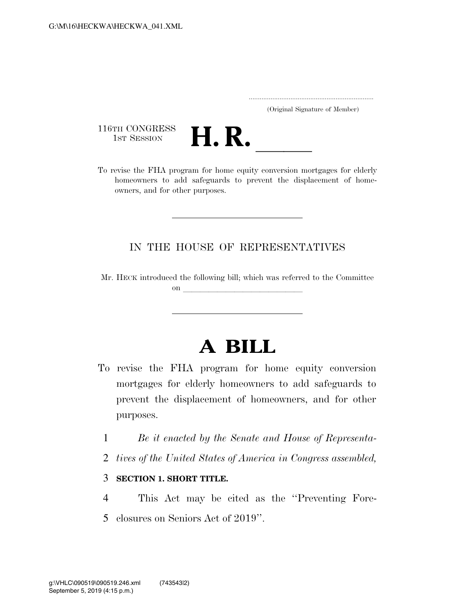..................................................................... (Original Signature of Member)

116TH CONGRESS<br>1st Session



116TH CONGRESS<br>
1st SESSION<br>
To revise the FHA program for home equity conversion mortgages for elderly homeowners to add safeguards to prevent the displacement of homeowners, and for other purposes.

## IN THE HOUSE OF REPRESENTATIVES

Mr. HECK introduced the following bill; which was referred to the Committee on  $\overline{\qquad \qquad }$ 

## **A BILL**

- To revise the FHA program for home equity conversion mortgages for elderly homeowners to add safeguards to prevent the displacement of homeowners, and for other purposes.
	- 1 *Be it enacted by the Senate and House of Representa-*
	- 2 *tives of the United States of America in Congress assembled,*

## 3 **SECTION 1. SHORT TITLE.**

4 This Act may be cited as the ''Preventing Fore-5 closures on Seniors Act of 2019''.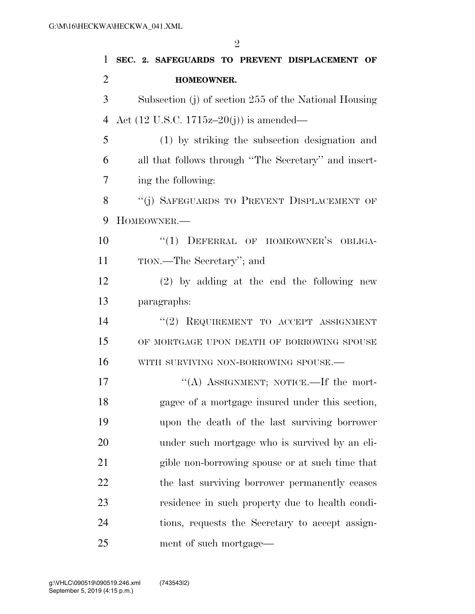| 1              | SEC. 2. SAFEGUARDS TO PREVENT DISPLACEMENT OF         |
|----------------|-------------------------------------------------------|
| $\overline{2}$ | <b>HOMEOWNER.</b>                                     |
| 3              | Subsection (j) of section 255 of the National Housing |
| $\overline{4}$ | Act $(12 \text{ U.S.C. } 1715z-20(j))$ is amended—    |
| 5              | (1) by striking the subsection designation and        |
| 6              | all that follows through "The Secretary" and insert-  |
| 7              | ing the following:                                    |
| 8              | "(j) SAFEGUARDS TO PREVENT DISPLACEMENT OF            |
| 9              | HOMEOWNER.-                                           |
| 10             | "(1) DEFERRAL OF HOMEOWNER'S OBLIGA-                  |
| 11             | TION.—The Secretary"; and                             |
| 12             | $(2)$ by adding at the end the following new          |
| 13             | paragraphs:                                           |
| 14             | "(2) REQUIREMENT TO ACCEPT ASSIGNMENT                 |
| 15             | OF MORTGAGE UPON DEATH OF BORROWING SPOUSE            |
| 16             | WITH SURVIVING NON-BORROWING SPOUSE.-                 |
| 17             | "(A) ASSIGNMENT; NOTICE.—If the mort-                 |
| 18             | gagee of a mortgage insured under this section,       |
| 19             | upon the death of the last surviving borrower         |
| 20             | under such mortgage who is survived by an eli-        |
| 21             | gible non-borrowing spouse or at such time that       |
| 22             | the last surviving borrower permanently ceases        |
| 23             | residence in such property due to health condi-       |
| 24             | tions, requests the Secretary to accept assign-       |
| 25             | ment of such mortgage—                                |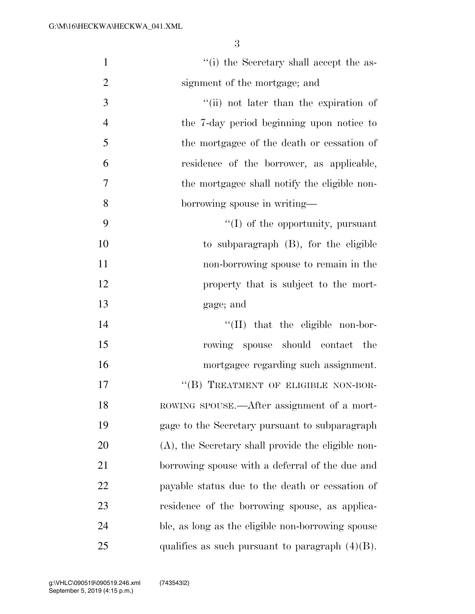| $\mathbf{1}$   | "(i) the Secretary shall accept the as-            |
|----------------|----------------------------------------------------|
| $\overline{2}$ | signment of the mortgage; and                      |
| 3              | "(ii) not later than the expiration of             |
| $\overline{4}$ | the 7-day period beginning upon notice to          |
| 5              | the mortgagee of the death or cessation of         |
| 6              | residence of the borrower, as applicable,          |
| $\tau$         | the mortgagee shall notify the eligible non-       |
| 8              | borrowing spouse in writing—                       |
| 9              | $\lq\lq$ of the opportunity, pursuant              |
| 10             | to subparagraph $(B)$ , for the eligible           |
| 11             | non-borrowing spouse to remain in the              |
| 12             | property that is subject to the mort-              |
| 13             | gage; and                                          |
| 14             | $\lq\lq$ (II) that the eligible non-bor-           |
| 15             | rowing spouse should contact the                   |
| 16             | mortgagee regarding such assignment.               |
| 17             | "(B) TREATMENT OF ELIGIBLE NON-BOR-                |
| 18             | ROWING SPOUSE.—After assignment of a mort-         |
| 19             | gage to the Secretary pursuant to subparagraph     |
| 20             | (A), the Secretary shall provide the eligible non- |
| 21             | borrowing spouse with a deferral of the due and    |
| 22             | payable status due to the death or cessation of    |
| 23             | residence of the borrowing spouse, as applica-     |
| 24             | ble, as long as the eligible non-borrowing spouse  |
| 25             | qualifies as such pursuant to paragraph $(4)(B)$ . |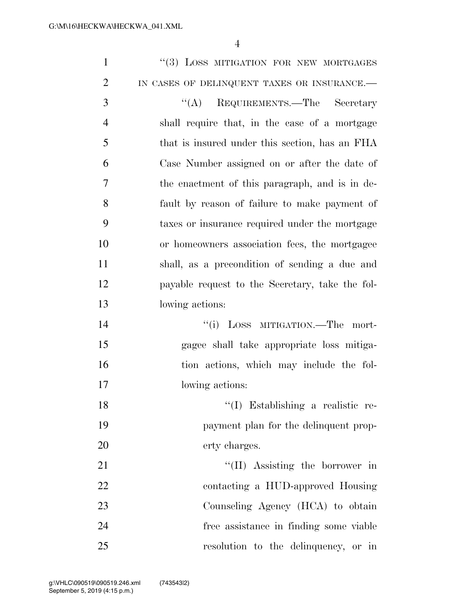| $\mathbf{1}$   | "(3) LOSS MITIGATION FOR NEW MORTGAGES          |
|----------------|-------------------------------------------------|
| $\overline{2}$ | IN CASES OF DELINQUENT TAXES OR INSURANCE.-     |
| 3              | "(A) REQUIREMENTS.—The Secretary                |
| $\overline{4}$ | shall require that, in the case of a mortgage   |
| 5              | that is insured under this section, has an FHA  |
| 6              | Case Number assigned on or after the date of    |
| 7              | the enactment of this paragraph, and is in de-  |
| 8              | fault by reason of failure to make payment of   |
| 9              | taxes or insurance required under the mortgage  |
| 10             | or homeowners association fees, the mortgagee   |
| 11             | shall, as a precondition of sending a due and   |
| 12             | payable request to the Secretary, take the fol- |
| 13             | lowing actions:                                 |
| 14             | "(i) LOSS MITIGATION.—The mort-                 |
| 15             | gagee shall take appropriate loss mitiga-       |
| 16             | tion actions, which may include the fol-        |
| 17             | lowing actions:                                 |
| 18             | $\lq(1)$ Establishing a realistic re-           |
| 19             | payment plan for the delinquent prop-           |
| 20             | erty charges.                                   |
| 21             | "(II) Assisting the borrower in                 |
| 22             | contacting a HUD-approved Housing               |
| 23             | Counseling Agency (HCA) to obtain               |
| 24             | free assistance in finding some viable          |
| 25             | resolution to the delinquency, or in            |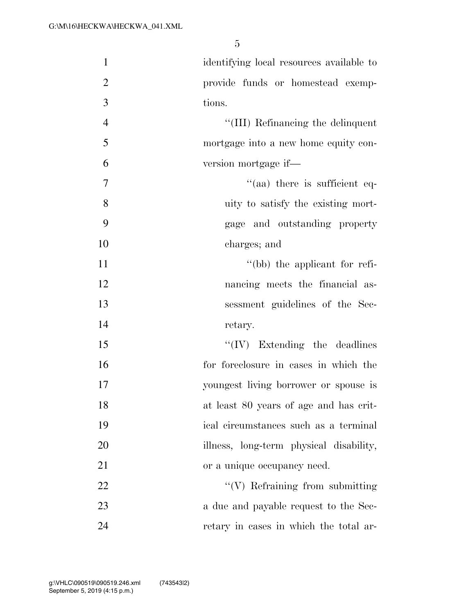| $\mathbf{1}$   | identifying local resources available to |
|----------------|------------------------------------------|
| $\mathbf{2}$   | provide funds or homestead exemp-        |
| $\overline{3}$ | tions.                                   |
| $\overline{4}$ | "(III) Refinancing the delinquent        |
| 5              | mortgage into a new home equity con-     |
| 6              | version mortgage if—                     |
| $\overline{7}$ | $\cdot$ (aa) there is sufficient eq-     |
| 8              | uity to satisfy the existing mort-       |
| 9              | gage and outstanding property            |
| 10             | charges; and                             |
| 11             | $\lq\lq(bb)$ the applicant for refi-     |
| 12             | nancing meets the financial as-          |
| 13             | sessment guidelines of the Sec-          |
| 14             | retary.                                  |
| 15             | $\lq\lq (IV)$ Extending the deadlines    |
| 16             | for foreclosure in cases in which the    |
| 17             | youngest living borrower or spouse is    |
| 18             | at least 80 years of age and has crit-   |
| 19             | ical circumstances such as a terminal    |
| 20             | illness, long-term physical disability,  |
| 21             | or a unique occupancy need.              |
| 22             | $\lq\lq(V)$ Refraining from submitting   |
| 23             | a due and payable request to the Sec-    |
| 24             | retary in cases in which the total ar-   |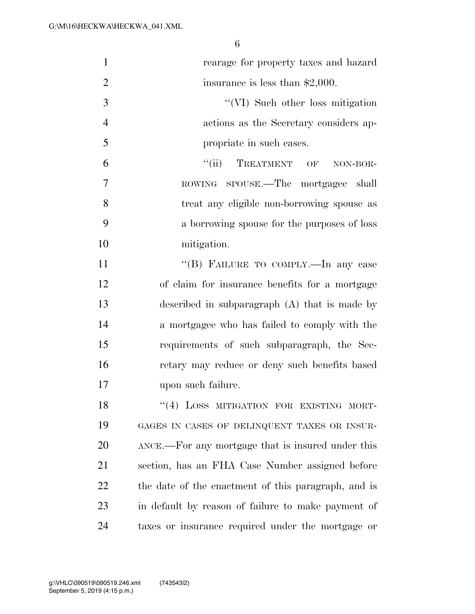| $\mathbf{1}$   | rearage for property taxes and hazard               |
|----------------|-----------------------------------------------------|
| $\overline{2}$ | insurance is less than $$2,000$ .                   |
| 3              | "(VI) Such other loss mitigation                    |
| $\overline{4}$ | actions as the Secretary considers ap-              |
| 5              | propriate in such cases.                            |
| 6              | "(ii) TREATMENT OF NON-BOR-                         |
| 7              | ROWING SPOUSE.—The mortgagee shall                  |
| 8              | treat any eligible non-borrowing spouse as          |
| 9              | a borrowing spouse for the purposes of loss         |
| 10             | mitigation.                                         |
| 11             | "(B) FAILURE TO COMPLY.—In any case                 |
| 12             | of claim for insurance benefits for a mortgage      |
| 13             | described in subparagraph $(A)$ that is made by     |
| 14             | a mortgagee who has failed to comply with the       |
| 15             | requirements of such subparagraph, the Sec-         |
| 16             | retary may reduce or deny such benefits based       |
| 17             | upon such failure.                                  |
| 18             | "(4) LOSS MITIGATION FOR EXISTING MORT-             |
| 19             | GAGES IN CASES OF DELINQUENT TAXES OR INSUR-        |
| 20             | ANCE.—For any mortgage that is insured under this   |
| 21             | section, has an FHA Case Number assigned before     |
| 22             | the date of the enactment of this paragraph, and is |
| 23             | in default by reason of failure to make payment of  |
| 24             | taxes or insurance required under the mortgage or   |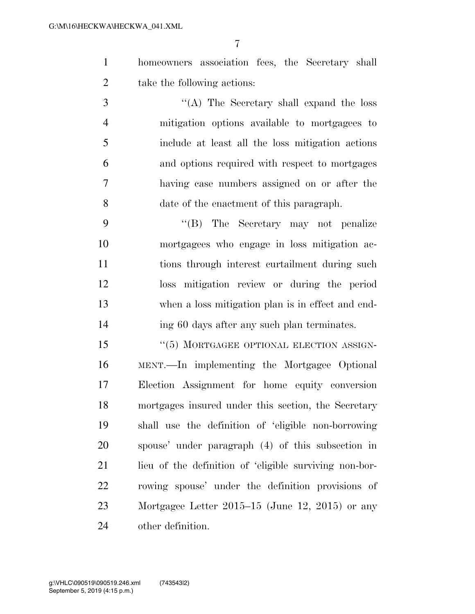homeowners association fees, the Secretary shall take the following actions:

 ''(A) The Secretary shall expand the loss mitigation options available to mortgagees to include at least all the loss mitigation actions and options required with respect to mortgages having case numbers assigned on or after the date of the enactment of this paragraph.

 ''(B) The Secretary may not penalize mortgagees who engage in loss mitigation ac- tions through interest curtailment during such loss mitigation review or during the period when a loss mitigation plan is in effect and end-ing 60 days after any such plan terminates.

 ''(5) MORTGAGEE OPTIONAL ELECTION ASSIGN- MENT.—In implementing the Mortgagee Optional Election Assignment for home equity conversion mortgages insured under this section, the Secretary shall use the definition of 'eligible non-borrowing spouse' under paragraph (4) of this subsection in 21 lieu of the definition of 'eligible surviving non-bor- rowing spouse' under the definition provisions of Mortgagee Letter 2015–15 (June 12, 2015) or any other definition.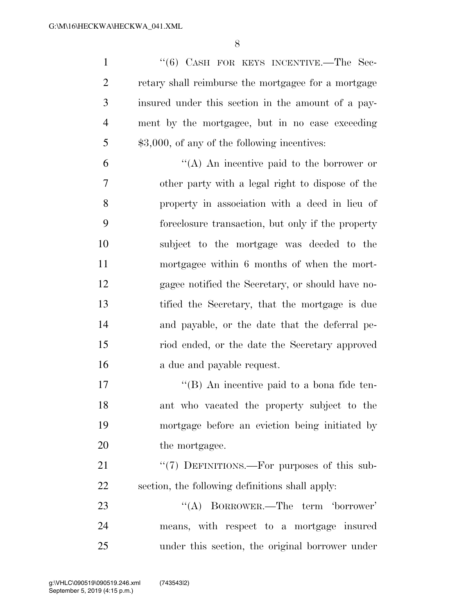1 "(6) CASH FOR KEYS INCENTIVE.—The Sec-2 retary shall reimburse the mortgagee for a mortgage insured under this section in the amount of a pay- ment by the mortgagee, but in no case exceeding 5 \$3,000, of any of the following incentives:

 $^{\prime\prime}$ (A) An incentive paid to the borrower or other party with a legal right to dispose of the property in association with a deed in lieu of foreclosure transaction, but only if the property subject to the mortgage was deeded to the mortgagee within 6 months of when the mort- gagee notified the Secretary, or should have no- tified the Secretary, that the mortgage is due and payable, or the date that the deferral pe- riod ended, or the date the Secretary approved a due and payable request.

 $\langle$  (B) An incentive paid to a bona fide ten- ant who vacated the property subject to the mortgage before an eviction being initiated by 20 the mortgagee.

21 "(7) DEFINITIONS.—For purposes of this sub-section, the following definitions shall apply:

23 ''(A) BORROWER.—The term 'borrower' means, with respect to a mortgage insured under this section, the original borrower under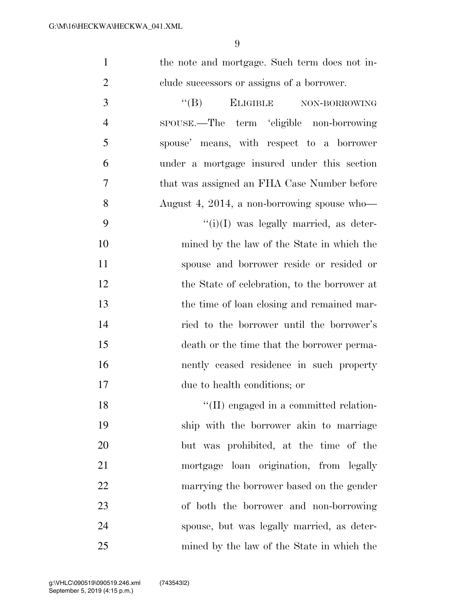| the note and mortgage. Such term does not in- |
|-----------------------------------------------|
| clude successors or assigns of a borrower.    |

3 "(B) ELIGIBLE NON-BORROWING SPOUSE.—The term 'eligible non-borrowing spouse' means, with respect to a borrower under a mortgage insured under this section that was assigned an FHA Case Number before August 4, 2014, a non-borrowing spouse who—  $"(i)(I)$  was legally married, as deter- mined by the law of the State in which the spouse and borrower reside or resided or 12 the State of celebration, to the borrower at the time of loan closing and remained mar- ried to the borrower until the borrower's death or the time that the borrower perma- nently ceased residence in such property due to health conditions; or

 $\text{``(II)}$  engaged in a committed relation- ship with the borrower akin to marriage but was prohibited, at the time of the mortgage loan origination, from legally marrying the borrower based on the gender of both the borrower and non-borrowing spouse, but was legally married, as deter-mined by the law of the State in which the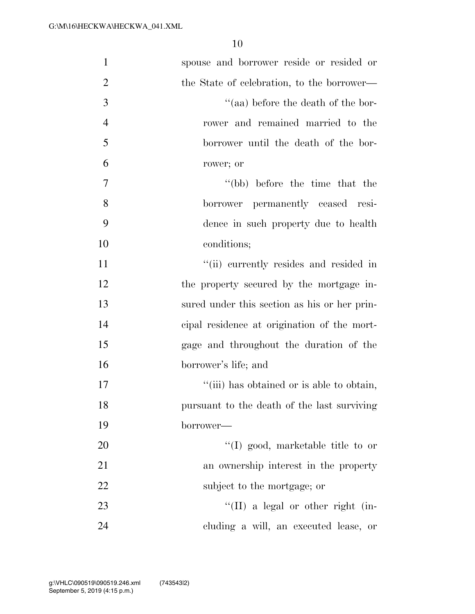| $\mathbf{1}$   | spouse and borrower reside or resided or     |
|----------------|----------------------------------------------|
| $\overline{2}$ | the State of celebration, to the borrower—   |
| 3              | $\cdot$ (aa) before the death of the bor-    |
| $\overline{4}$ | rower and remained married to the            |
| 5              | borrower until the death of the bor-         |
| 6              | rower; or                                    |
| 7              | "(bb) before the time that the               |
| 8              | borrower permanently ceased resi-            |
| 9              | dence in such property due to health         |
| 10             | conditions;                                  |
| 11             | "(ii) currently resides and resided in       |
| 12             | the property secured by the mortgage in-     |
| 13             | sured under this section as his or her prin- |
| 14             | eipal residence at origination of the mort-  |
| 15             | gage and throughout the duration of the      |
| 16             | borrower's life; and                         |
| 17             | "(iii) has obtained or is able to obtain,    |
| 18             | pursuant to the death of the last surviving  |
| 19             | borrower—                                    |
| 20             | $\lq\lq$ (I) good, marketable title to or    |
| 21             | an ownership interest in the property        |
| 22             | subject to the mortgage; or                  |
| 23             | $\lq\lq$ (II) a legal or other right (in-    |
| 24             | cluding a will, an executed lease, or        |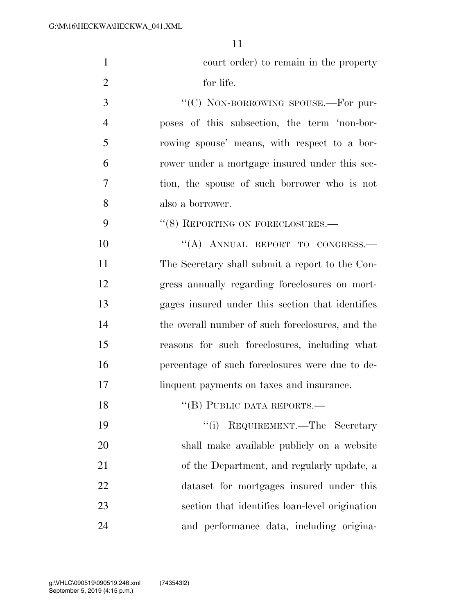| $\mathbf{1}$   | court order) to remain in the property           |
|----------------|--------------------------------------------------|
| $\overline{2}$ | for life.                                        |
| 3              | "(C) NON-BORROWING SPOUSE.—For pur-              |
| $\overline{4}$ | poses of this subsection, the term 'non-bor-     |
| 5              | rowing spouse' means, with respect to a bor-     |
| 6              | rower under a mortgage insured under this sec-   |
| 7              | tion, the spouse of such borrower who is not     |
| 8              | also a borrower.                                 |
| 9              | "(8) REPORTING ON FORECLOSURES.-                 |
| 10             | "(A) ANNUAL REPORT TO CONGRESS.-                 |
| 11             | The Secretary shall submit a report to the Con-  |
| 12             | gress annually regarding foreclosures on mort-   |
| 13             | gages insured under this section that identifies |
| 14             | the overall number of such foreclosures, and the |
| 15             | reasons for such foreclosures, including what    |
| 16             | percentage of such foreclosures were due to de-  |
| 17             | linquent payments on taxes and insurance.        |
| 18             | "(B) PUBLIC DATA REPORTS.-                       |
| 19             | REQUIREMENT.—The Secretary<br>``(i)              |
| 20             | shall make available publicly on a website       |
| 21             | of the Department, and regularly update, a       |
| 22             | dataset for mortgages insured under this         |
| 23             | section that identifies loan-level origination   |
| 24             | and performance data, including origina-         |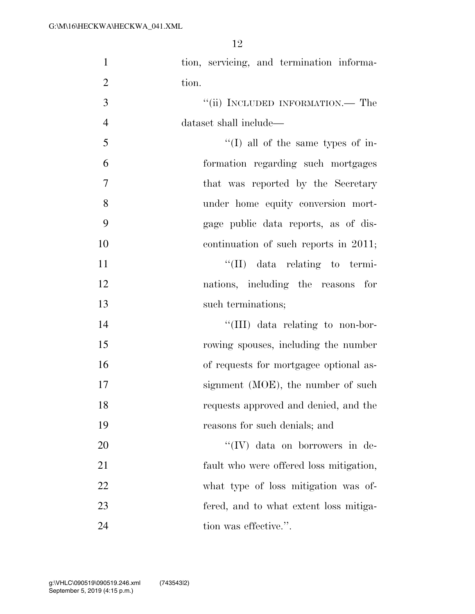| $\mathbf{1}$   | tion, servicing, and termination informa- |
|----------------|-------------------------------------------|
| $\overline{2}$ | tion.                                     |
| 3              | "(ii) INCLUDED INFORMATION.— The          |
| $\overline{4}$ | dataset shall include—                    |
| 5              | $\lq\lq$ (I) all of the same types of in- |
| 6              | formation regarding such mortgages        |
| $\overline{7}$ | that was reported by the Secretary        |
| 8              | under home equity conversion mort-        |
| 9              | gage public data reports, as of dis-      |
| 10             | continuation of such reports in 2011;     |
| 11             | $\lq\lq$ (II) data relating to termi-     |
| 12             | nations, including the reasons for        |
| 13             | such terminations;                        |
| 14             | "(III) data relating to non-bor-          |
| 15             | rowing spouses, including the number      |
| 16             | of requests for mortgagee optional as-    |
|                |                                           |
| 17             | signment (MOE), the number of such        |
| 18             | requests approved and denied, and the     |
| 19             | reasons for such denials; and             |
| 20             | $\lq\lq (IV)$ data on borrowers in de-    |
| 21             | fault who were offered loss mitigation,   |
| 22             | what type of loss mitigation was of-      |
| 23             | fered, and to what extent loss mitiga-    |